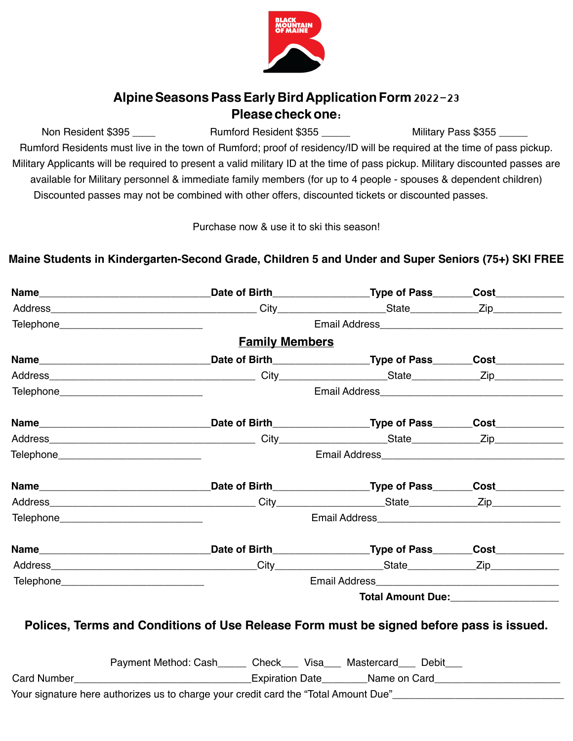

## **AlpineSeasonsPassEarly Bird ApplicationForm** 2022-23 **Please checkone**:

Non Resident \$395 \_\_\_\_ Rumford Resident \$355 \_\_\_\_ Military Pass \$355

Rumford Residents must live in the town of Rumford; proof of residency/ID will be required at the time of pass pickup. Military Applicants will be required to present a valid military ID at the time of pass pickup. Military discounted passes are available for Military personnel & immediate family members (for up to 4 people - spouses & dependent children) Discounted passes may not be combined with other offers, discounted tickets or discounted passes.

Purchase now & use it to ski this season!

## **Maine Students in Kindergarten-Second Grade, Children 5 and Under and Super Seniors (75+) SKI FREE**

|                                            |                                                                                                                | _Date of Birth____________________Type of Pass________Cost____________ |                                                                                                                                                                                                                                        |  |
|--------------------------------------------|----------------------------------------------------------------------------------------------------------------|------------------------------------------------------------------------|----------------------------------------------------------------------------------------------------------------------------------------------------------------------------------------------------------------------------------------|--|
|                                            |                                                                                                                |                                                                        |                                                                                                                                                                                                                                        |  |
| Telephone________________________________  |                                                                                                                |                                                                        |                                                                                                                                                                                                                                        |  |
|                                            | <b>Family Members</b>                                                                                          |                                                                        |                                                                                                                                                                                                                                        |  |
|                                            | Name___________________________________Date of Birth__________________Type of Pass______Cost______________     |                                                                        |                                                                                                                                                                                                                                        |  |
|                                            |                                                                                                                |                                                                        |                                                                                                                                                                                                                                        |  |
| Telephone_________________________________ |                                                                                                                |                                                                        |                                                                                                                                                                                                                                        |  |
|                                            |                                                                                                                |                                                                        |                                                                                                                                                                                                                                        |  |
|                                            |                                                                                                                |                                                                        |                                                                                                                                                                                                                                        |  |
| Telephone______________________________    |                                                                                                                |                                                                        |                                                                                                                                                                                                                                        |  |
|                                            |                                                                                                                |                                                                        |                                                                                                                                                                                                                                        |  |
|                                            |                                                                                                                |                                                                        |                                                                                                                                                                                                                                        |  |
| Telephone_______________________________   |                                                                                                                |                                                                        |                                                                                                                                                                                                                                        |  |
|                                            |                                                                                                                |                                                                        |                                                                                                                                                                                                                                        |  |
|                                            |                                                                                                                |                                                                        |                                                                                                                                                                                                                                        |  |
| Telephone_______________________________   |                                                                                                                |                                                                        |                                                                                                                                                                                                                                        |  |
|                                            |                                                                                                                |                                                                        | Total Amount Due:<br><u> Letting and the summanning of the summanning of the summanning of the summanning of the summanning of the summanning of the summanning of the summanning of the summanning of the summanning of the summa</u> |  |
|                                            | Polices, Terms and Conditions of Use Release Form must be signed before pass is issued.                        |                                                                        |                                                                                                                                                                                                                                        |  |
|                                            | Payment Method: Cash______ Check___ Visa___ Mastercard___ Debit___                                             |                                                                        |                                                                                                                                                                                                                                        |  |
|                                            | Card Number__________________________________Expiration Date________Name on Card____________________           |                                                                        |                                                                                                                                                                                                                                        |  |
|                                            | Your signature here authorizes us to charge your credit card the "Total Amount Due"___________________________ |                                                                        |                                                                                                                                                                                                                                        |  |